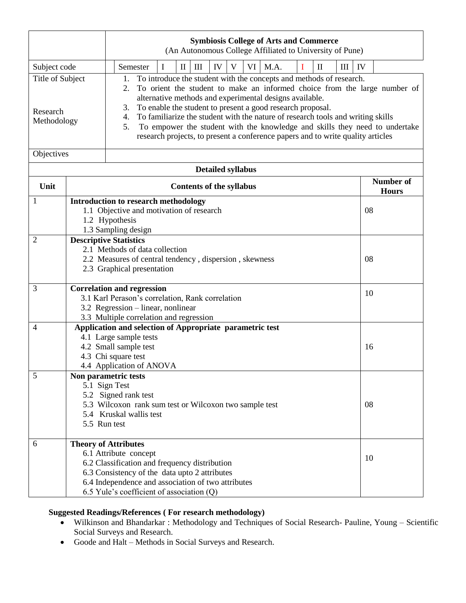|                                             |                                                                                                                                                         | <b>Symbiosis College of Arts and Commerce</b><br>(An Autonomous College Affiliated to University of Pune)                                                                                                                                                                                                                                                                                                                                                                                                                                                    |                                  |  |
|---------------------------------------------|---------------------------------------------------------------------------------------------------------------------------------------------------------|--------------------------------------------------------------------------------------------------------------------------------------------------------------------------------------------------------------------------------------------------------------------------------------------------------------------------------------------------------------------------------------------------------------------------------------------------------------------------------------------------------------------------------------------------------------|----------------------------------|--|
| Subject code                                |                                                                                                                                                         | M.A.<br>$\mathop{\rm III}\nolimits$<br>IV<br>V<br>VI<br>$\mathbf{I}$<br>IV<br>I<br>$\mathbf{I}$<br>T<br>III<br>Semester                                                                                                                                                                                                                                                                                                                                                                                                                                      |                                  |  |
| Title of Subject<br>Research<br>Methodology |                                                                                                                                                         | To introduce the student with the concepts and methods of research.<br>1.<br>To orient the student to make an informed choice from the large number of<br>2.<br>alternative methods and experimental designs available.<br>To enable the student to present a good research proposal.<br>3.<br>To familiarize the student with the nature of research tools and writing skills<br>4.<br>To empower the student with the knowledge and skills they need to undertake<br>5.<br>research projects, to present a conference papers and to write quality articles |                                  |  |
| Objectives                                  |                                                                                                                                                         |                                                                                                                                                                                                                                                                                                                                                                                                                                                                                                                                                              |                                  |  |
| <b>Detailed syllabus</b>                    |                                                                                                                                                         |                                                                                                                                                                                                                                                                                                                                                                                                                                                                                                                                                              |                                  |  |
| Unit                                        |                                                                                                                                                         | <b>Contents of the syllabus</b>                                                                                                                                                                                                                                                                                                                                                                                                                                                                                                                              | <b>Number of</b><br><b>Hours</b> |  |
| $\mathbf{1}$                                |                                                                                                                                                         | <b>Introduction to research methodology</b><br>1.1 Objective and motivation of research<br>1.2 Hypothesis<br>1.3 Sampling design                                                                                                                                                                                                                                                                                                                                                                                                                             | 08                               |  |
| 2                                           | <b>Descriptive Statistics</b><br>2.1 Methods of data collection<br>2.2 Measures of central tendency, dispersion, skewness<br>2.3 Graphical presentation | 08                                                                                                                                                                                                                                                                                                                                                                                                                                                                                                                                                           |                                  |  |
| 3                                           |                                                                                                                                                         | <b>Correlation and regression</b><br>3.1 Karl Perason's correlation, Rank correlation<br>3.2 Regression – linear, nonlinear<br>3.3 Multiple correlation and regression                                                                                                                                                                                                                                                                                                                                                                                       | 10                               |  |
| $\overline{4}$                              |                                                                                                                                                         | Application and selection of Appropriate parametric test<br>4.1 Large sample tests<br>4.2 Small sample test<br>4.3 Chi square test<br>4.4 Application of ANOVA                                                                                                                                                                                                                                                                                                                                                                                               | 16                               |  |
| 5                                           | 5.5 Run test                                                                                                                                            | Non parametric tests<br>5.1 Sign Test<br>5.2 Signed rank test<br>5.3 Wilcoxon rank sum test or Wilcoxon two sample test<br>5.4 Kruskal wallis test                                                                                                                                                                                                                                                                                                                                                                                                           | 08                               |  |
| 6                                           |                                                                                                                                                         | <b>Theory of Attributes</b><br>6.1 Attribute concept<br>6.2 Classification and frequency distribution<br>6.3 Consistency of the data upto 2 attributes<br>6.4 Independence and association of two attributes<br>6.5 Yule's coefficient of association (Q)                                                                                                                                                                                                                                                                                                    | 10                               |  |

## **Suggested Readings/References ( For research methodology)**

- Wilkinson and Bhandarkar : Methodology and Techniques of Social Research- Pauline, Young Scientific Social Surveys and Research.
- Goode and Halt Methods in Social Surveys and Research.